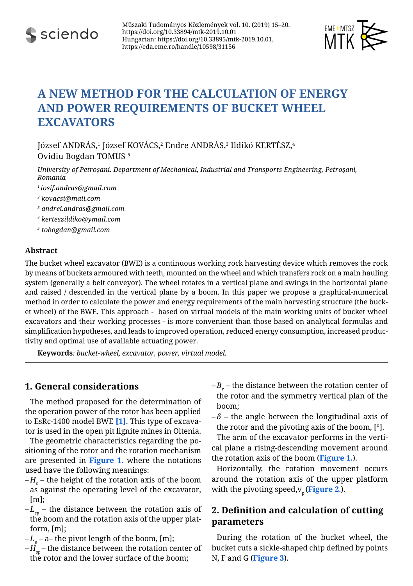



# **A NEW METHOD FOR THE CALCULATION OF ENERGY AND POWER REQUIREMENTS OF BUCKET WHEEL EXCAVATORS**

József ANDRAS, $^1$  József KOVACS, $^2$  Endre ANDRAS, $^3$  Ildikó KERTESZ, $^4$ Ovidiu Bogdan Tomus 5

*University of Petroșani. Department of Mechanical, Industrial and Transports Engineering, Petroșani, Romania*

- *<sup>1</sup>iosif.andras@gmail.com*
- *2 kovacsi@mail.com*
- *3 andrei.andras@gmail.com*
- *4 kerteszildiko@ymail.com*
- *5 tobogdan@gmail.com*

#### **Abstract**

The bucket wheel excavator (BWE) is a continuous working rock harvesting device which removes the rock by means of buckets armoured with teeth, mounted on the wheel and which transfers rock on a main hauling system (generally a belt conveyor). The wheel rotates in a vertical plane and swings in the horizontal plane and raised / descended in the vertical plane by a boom. In this paper we propose a graphical-numerical method in order to calculate the power and energy requirements of the main harvesting structure (the bucket wheel) of the BWE. This approach - based on virtual models of the main working units of bucket wheel excavators and their working processes - is more convenient than those based on analytical formulas and simplification hypotheses, and leads to improved operation, reduced energy consumption, increased productivity and optimal use of available actuating power.

**Keywords***: bucket-wheel, excavator, power, virtual model.*

# **1. General considerations**

<span id="page-0-3"></span>The method proposed for the determination of the operation power of the rotor has been applied to EsRc-1400 model BWE **[\[1\]](#page-5-0)**. This type of excavator is used in the open pit lignite mines in Oltenia.

<span id="page-0-0"></span>The geometric characteristics regarding the positioning of the rotor and the rotation mechanism are presented in **[Figure 1.](#page-1-0)** where the notations used have the following meanings:

- $-H_{\overline{s}}$  the height of the rotation axis of the boom as against the operating level of the excavator, [m];
- $-L_{sp}$  the distance between the rotation axis of the boom and the rotation axis of the upper platform, [m];
- $-L_p$  a– the pivot length of the boom, [m];
- $-\dot{H}_{\rm em}$  the distance between the rotation center of the rotor and the lower surface of the boom;

 $-B_r$  – the distance between the rotation center of the rotor and the symmetry vertical plan of the boom;

 $-\delta$  – the angle between the longitudinal axis of the rotor and the pivoting axis of the boom, [°].

The arm of the excavator performs in the vertical plane a rising-descending movement around the rotation axis of the boom (**[Figure 1.](#page-1-0)**).

<span id="page-0-1"></span>Horizontally, the rotation movement occurs around the rotation axis of the upper platform with the pivoting speed, $v_p$  ([Figure 2](#page-1-1).).

# **2. Definition and calculation of cutting parameters**

<span id="page-0-2"></span>During the rotation of the bucket wheel, the bucket cuts a sickle-shaped chip defined by points N, F and G (**[Figure 3](#page-1-2)**).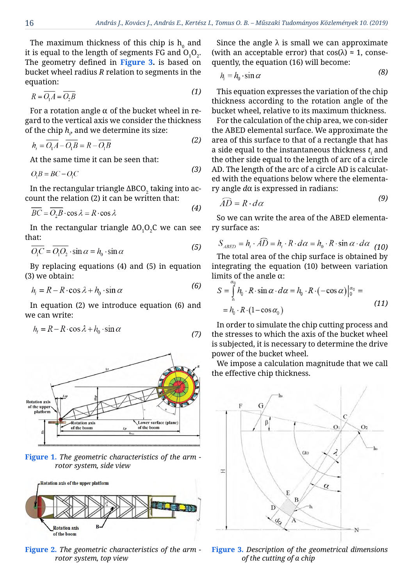*(2)*

 $(2)$ 

The maximum thickness of this chip is  $\mathbf{h}_{\mathbf{0}}$  and it is equal to the length of segments FG and  $\mathrm{O}_\mathrm{i}\mathrm{O}_\mathrm{2}.$ The geometry defined in **[Figure 3](#page-1-2).** is based on bucket wheel radius *R* relation to segments in the equation:

$$
R = \overline{O, A} = \overline{O, B} \tag{1}
$$

For a rotation angle  $\alpha$  of the bucket wheel in regard to the vertical axis we consider the thickness of the chip  $h_{\scriptscriptstyle \rho}$  and we determine its size:

$$
h_i = \overline{O_1 A} - \overline{O_1 B} = R - \overline{O_1 B}
$$
 (2)

At the same time it can be seen that:

$$
O, B = BC - O, C \tag{3}
$$

In the rectangular triangle ∆BCO $_2$  taking into account the relation (2) it can be written that:

$$
\overline{BC} = \overline{O_2B} \cdot \cos \lambda = R \cdot \cos \lambda \tag{4}
$$

In the rectangular triangle ∆O $_1$ O $_2$ C we can see that:

$$
\overline{O_1C} = \overline{O_1O_2} \cdot \sin \alpha = h_0 \cdot \sin \alpha \tag{5}
$$

By replacing equations (4) and (5) in equation (3) we obtain: *(6)*

$$
h_i = R - R \cdot \cos \lambda + h_0 \cdot \sin \alpha \tag{6}
$$

In equation (2) we introduce equation (6) and we can write:

$$
h_i = R - R \cdot \cos \lambda + h_0 \cdot \sin \alpha \tag{7}
$$



<span id="page-1-0"></span>**[Figure 1.](#page-0-0)** *The geometric characteristics of the arm rotor system, side view*



<span id="page-1-1"></span>**[Figure 2.](#page-0-1)** *The geometric characteristics of the arm rotor system, top view*

Since the angle  $\lambda$  is small we can approximate (with an acceptable error) that  $cos(\lambda) \approx 1$ , consequently, the equation (16) will become:

$$
h_i = h_0 \cdot \sin \alpha \tag{8}
$$

This equation expresses the variation of the chip thickness according to the rotation angle of the bucket wheel, relative to its maximum thickness.

For the calculation of the chip area, we con-sider the ABED elemental surface. We approximate the area of this surface to that of a rectangle that has a side equal to the instantaneous thickness  $t_i$  and the other side equal to the length of arc of a circle AD. The length of the arc of a circle AD is calculated with the equations below where the elementary angle *d*α is expressed in radians: *(9)*

$$
\widehat{AD} = R \cdot d\alpha \tag{9}
$$

So we can write the area of the ABED elementary surface as:

$$
S_{ABED} = h_i \cdot \widehat{AD} = h_i \cdot R \cdot d\alpha = h_0 \cdot R \cdot \sin \alpha \cdot d\alpha \tag{10}
$$

The total area of the chip surface is obtained by integrating the equation (10) between variation limits of the angle  $\alpha$ :

$$
S = \int_{0}^{1} h_0 \cdot R \cdot \sin \alpha \cdot d\alpha = h_0 \cdot R \cdot (-\cos \alpha) \Big|_{0}^{\alpha_0} =
$$
  
=  $h_0 \cdot R \cdot (1 - \cos \alpha_0)$  (11)

In order to simulate the chip cutting process and the stresses to which the axis of the bucket wheel is subjected, it is necessary to determine the drive power of the bucket wheel.

We impose a calculation magnitude that we call the effective chip thickness.



<span id="page-1-2"></span>**[Figure 3.](#page-0-2)** *Description of the geometrical dimensions of the cutting of a chip*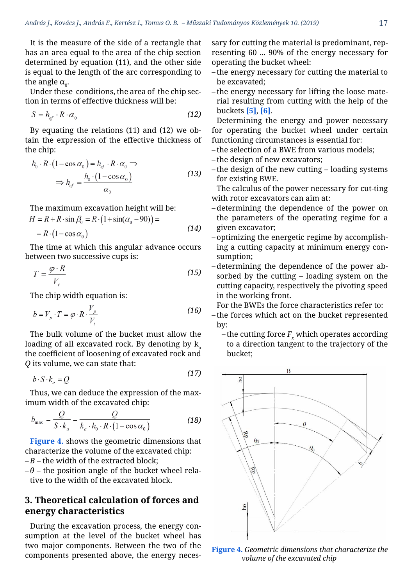It is the measure of the side of a rectangle that has an area equal to the area of the chip section determined by equation (11), and the other side is equal to the length of the arc corresponding to the angle  $α_0$ .

Under these conditions, the area of the chip section in terms of effective thickness will be:

$$
S = h_{\rm ef} \cdot R \cdot \alpha_0 \tag{12}
$$

By equating the relations (11) and (12) we obtain the expression of the effective thickness of the chip:

$$
h_0 \cdot R \cdot (1 - \cos \alpha_0) = h_{ef} \cdot R \cdot \alpha_0 \Rightarrow
$$
  

$$
\Rightarrow h_{ef} = \frac{h_0 \cdot (1 - \cos \alpha_0)}{\alpha_0}
$$
 (13)

The maximum excavation height will be:

$$
H = R + R \cdot \sin \beta_0 = R \cdot (1 + \sin(\alpha_0 - 90)) =
$$
  
= R \cdot (1 - \cos \alpha\_0) \tag{14}

The time at which this angular advance occurs between two successive cups is:

$$
T = \frac{\varphi \cdot R}{V} \tag{15}
$$

The chip width equation is:

$$
b = V_p \cdot T = \varphi \cdot R \cdot \frac{V_p}{V_r} \tag{16}
$$

The bulk volume of the bucket must allow the loading of all excavated rock. By denoting by  $k_a$ the coefficient of loosening of excavated rock and *Q* its volume, we can state that:

$$
b \cdot S \cdot k = O \tag{17}
$$

Thus, we can deduce the expression of the maximum width of the excavated chip:

$$
b_{\text{max}} = \frac{Q}{S \cdot k_a} = \frac{Q}{k_a \cdot h_0 \cdot R \cdot (1 - \cos \alpha_0)}
$$
(18)

<span id="page-2-1"></span>**[Figure 4.](#page-2-0)** shows the geometric dimensions that characterize the volume of the excavated chip:  $-B$  – the width of the extracted block;

 $-\theta$  – the position angle of the bucket wheel relative to the width of the excavated block.

### **3. Theoretical calculation of forces and energy characteristics**

During the excavation process, the energy consumption at the level of the bucket wheel has two major components. Between the two of the components presented above, the energy necessary for cutting the material is predominant, representing 60 ... 90% of the energy necessary for operating the bucket wheel:

- the energy necessary for cutting the material to be excavated;
- the energy necessary for lifting the loose material resulting from cutting with the help of the buckets **[\[5\]](#page-5-1)**, **[\[6\]](#page-5-2)**.

<span id="page-2-2"></span>Determining the energy and power necessary for operating the bucket wheel under certain functioning circumstances is essential for:

- the selection of a BWE from various models;
- the design of new excavators;
- the design of the new cutting loading systems for existing BWE.

The calculus of the power necessary for cut-ting with rotor excavators can aim at:

- determining the dependence of the power on the parameters of the operating regime for a given excavator;
- optimizing the energetic regime by accomplishing a cutting capacity at minimum energy consumption;
- determining the dependence of the power absorbed by the cutting – loading system on the cutting capacity, respectively the pivoting speed in the working front.

For the BWEs the force characteristics refer to:

- the forces which act on the bucket represented by:
	- the cutting force  $F_{\rm x}$  which operates according to a direction tangent to the trajectory of the bucket;



<span id="page-2-0"></span>**[Figure 4.](#page-2-1)** *Geometric dimensions that characterize the volume of the excavated chip*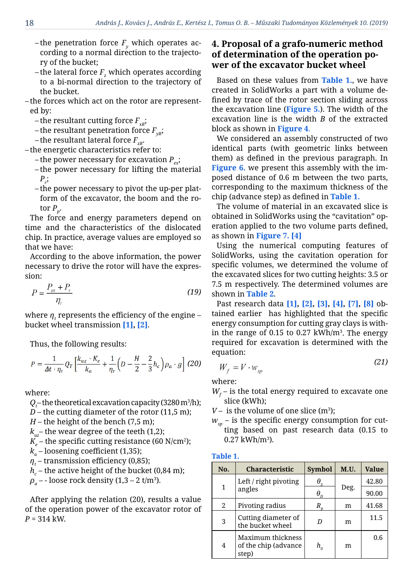- the penetration force  $F_{\rm y}$  which operates according to a normal direction to the trajectory of the bucket;
- the lateral force  $F_{\rm z}$  which operates according to a bi-normal direction to the trajectory of the bucket.

– the forces which act on the rotor are represented by:

- the resultant cutting force  $F_{\alpha}$ ;
- the resultant penetration force  $F_{\nu R}$ ;
- the resultant lateral force  $F_{\text{zav}}$ .

– the energetic characteristics refer to:

- the power necessary for excavation  $P_{\alpha}$ ;
- the power necessary for lifting the material *Pr* ;
- the power necessary to pivot the up-per platform of the excavator, the boom and the rotor  $P_p$ .

The force and energy parameters depend on time and the characteristics of the dislocated chip. In practice, average values are employed so that we have:

According to the above information, the power necessary to drive the rotor will have the expression:

$$
P = \frac{P_{\text{ex}} + P_r}{\eta_t} \tag{19}
$$

where  $\eta$ , represents the efficiency of the engine – bucket wheel transmission **[\[1\],](#page-5-0) [\[2\]](#page-5-3)**.

Thus, the following results:

$$
P=\frac{1}{\varDelta t\cdot \eta_t}\,Q_T\left[\frac{k_{uz}\cdot K_e}{k_a}+\frac{1}{\eta_r}\left(D-\frac{H}{2}-\frac{2}{3}\,h_c\right)\rho_a\cdot g\right]\,(20)
$$

where:

- $Q_{t}^{\,}$  the theoretical excavation capacity (3280 m $^3$ /h);
- $D$  the cutting diameter of the rotor (11,5 m);
- $H$  the height of the bench (7,5 m);
- $k_{\mu z}$  the wear degree of the teeth (1,2);
- $K_{_e}$  the specific cutting resistance (60 N/cm<sup>2</sup>);
- $k_a$  loosening coefficient (1,35);
- $\eta_{_t}$  transmission efficiency (0,85);
- $h_{c}^{\phantom{\dag}}$  the active height of the bucket (0,84 m);
- *ρa* - loose rock density (1,3 2 t/m3 ).

After applying the relation (20), results a value of the operation power of the excavator rotor of *P* = 314 kW.

# **4. Proposal of a grafo-numeric method of determination of the operation power of the excavator bucket wheel**

<span id="page-3-3"></span>Based on these values from **[Table 1.](#page-3-0)**, we have created in SolidWorks a part with a volume defined by trace of the rotor section sliding across the excavation line (**[Figure 5.](#page-4-0)**). The width of the excavation line is the width *B* of the extracted block as shown in **[Figure 4](#page-2-0)**.

<span id="page-3-4"></span>We considered an assembly constructed of two identical parts (with geometric links between them) as defined in the previous paragraph. In **[Figure 6.](#page-4-1)** we present this assembly with the imposed distance of 0.6 m between the two parts, corresponding to the maximum thickness of the chip (advance step) as defined in **[Table 1.](#page-3-0)**

<span id="page-3-1"></span>The volume of material in an excavated slice is obtained in SolidWorks using the "cavitation" operation applied to the two volume parts defined, as shown in **[Figure 7.](#page-4-2) [\[4\]](#page-5-4)**

<span id="page-3-8"></span><span id="page-3-5"></span>Using the numerical computing features of SolidWorks, using the cavitation operation for specific volumes, we determined the volume of the excavated slices for two cutting heights: 3.5 or 7.5 m respectively. The determined volumes are shown in **[Table 2](#page-4-3)**.

<span id="page-3-7"></span><span id="page-3-6"></span><span id="page-3-2"></span>Past research data **[\[1\]](#page-5-0), [\[2\],](#page-5-3) [\[3\]](#page-5-5), [\[4\],](#page-5-4) [\[7\]](#page-5-6), [\[8\]](#page-5-7)** obtained earlier has highlighted that the specific energy consumption for cutting gray clays is within the range of 0.15 to 0.27 kWh/m3 . The energy required for excavation is determined with the equation: *(21)*

$$
W_f = V \cdot w_{sp} \tag{21}
$$

where:

- $W_f$  is the total energy required to excavate one slice (kWh);
- $V-$  is the volume of one slice (m<sup>3</sup>);
- $W_{\rm sn}$  is the specific energy consumption for cutting based on past research data (0.15 to  $0.27 \text{ kWh/m}^3$ ).

#### <span id="page-3-0"></span>**[Table 1.](#page-3-1)**

| No. | <b>Characteristic</b>                              | <b>Symbol</b>                  | M.U. | <b>Value</b> |
|-----|----------------------------------------------------|--------------------------------|------|--------------|
| 1   | Left / right pivoting<br>angles                    | $\theta_{\rm c}$               | Deg. | 42.80        |
|     |                                                    |                                |      | 90.00        |
| 2   | Pivoting radius                                    |                                | m    | 41.68        |
| 3   | Cutting diameter of<br>the bucket wheel            |                                | m    | 11.5         |
| 4   | Maximum thickness<br>of the chip (advance<br>step) | $h_{\scriptscriptstyle\alpha}$ | m    | 0.6          |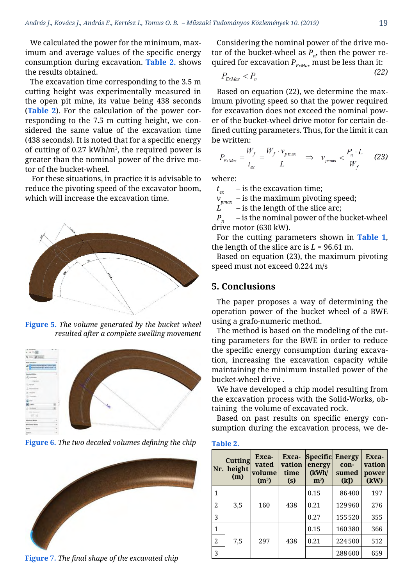We calculated the power for the minimum, maximum and average values of the specific energy consumption during excavation. **[Table 2.](#page-4-3)** shows the results obtained.

The excavation time corresponding to the 3.5 m cutting height was experimentally measured in the open pit mine, its value being 438 seconds (**[Table 2](#page-4-3)**). For the calculation of the power corresponding to the 7.5 m cutting height, we considered the same value of the excavation time (438 seconds). It is noted that for a specific energy of cutting of 0.27 kWh/m3 , the required power is greater than the nominal power of the drive motor of the bucket-wheel.

 For these situations, in practice it is advisable to reduce the pivoting speed of the excavator boom, which will increase the excavation time.



**[Figure 5.](#page-3-3)** *The volume generated by the bucket wheel resulted after a complete swelling movement*

<span id="page-4-0"></span>

**[Figure 6.](#page-3-4)** *The two decaled volumes defining the chip*

<span id="page-4-2"></span><span id="page-4-1"></span>

**[Figure 7.](#page-3-5)** *The final shape of the excavated chip*

Considering the nominal power of the drive motor of the bucket-wheel as  $P_n$ , then the power required for excavation  $P_{F_{xMax}}$  must be less than it:

$$
P_{\rm FvMov} < P_n \tag{22}
$$

Based on equation (22), we determine the maximum pivoting speed so that the power required for excavation does not exceed the nominal power of the bucket-wheel drive motor for certain defined cutting parameters. Thus, for the limit it can be written:

$$
P_{\text{EVALU}} = \frac{W_f}{t_{\text{ex}}} = \frac{W_f \cdot v_{p\text{max}}}{L} \quad \Rightarrow \quad v_{p\text{max}} < \frac{P_n \cdot L}{W_f} \tag{23}
$$

where:

 $t_{ex}$  – is the excavation time;

 $v_{pmax}$  – is the maximum pivoting speed;<br>*L* – is the length of the slice arc:

*L* – is the length of the slice arc;

 $P_n$  – is the nominal power of the bucket-wheel drive motor (630 kW).

For the cutting parameters shown in **[Table 1](#page-3-0)**, the length of the slice arc is  $L = 96.61$  m.

Based on equation (23), the maximum pivoting speed must not exceed 0.224 m/s

#### **5. Conclusions**

The paper proposes a way of determining the operation power of the bucket wheel of a BWE using a grafo-numeric method.

The method is based on the modeling of the cutting parameters for the BWE in order to reduce the specific energy consumption during excavation, increasing the excavation capacity while maintaining the minimum installed power of the bucket-wheel drive .

We have developed a chip model resulting from the excavation process with the Solid-Works, obtaining the volume of excavated rock.

Based on past results on specific energy consumption during the excavation process, we de-

#### <span id="page-4-3"></span>**[Table 2.](#page-3-2)**

| Nr. | <b>Cutting</b><br>height<br>(m) | Exca-<br>vated<br>volume<br>(m <sup>3</sup> ) | Exca-<br>vation<br>time<br>(s) | Specific Energy<br>energy<br>(kWh/<br>$m^3$ | con-<br>sumed<br>(k) | Exca-<br>vation<br>power<br>(kW) |
|-----|---------------------------------|-----------------------------------------------|--------------------------------|---------------------------------------------|----------------------|----------------------------------|
| 1   | 3,5                             | 160                                           | 438                            | 0.15                                        | 86400                | 197                              |
| 2   |                                 |                                               |                                | 0.21                                        | 129960               | 276                              |
| 3   |                                 |                                               |                                | 0.27                                        | 155520               | 355                              |
| 1   | 7,5                             | 297                                           | 438                            | 0.15                                        | 160380               | 366                              |
| 2   |                                 |                                               |                                | 0.21                                        | 224500               | 512                              |
| 3   |                                 |                                               |                                |                                             | 288600               | 659                              |